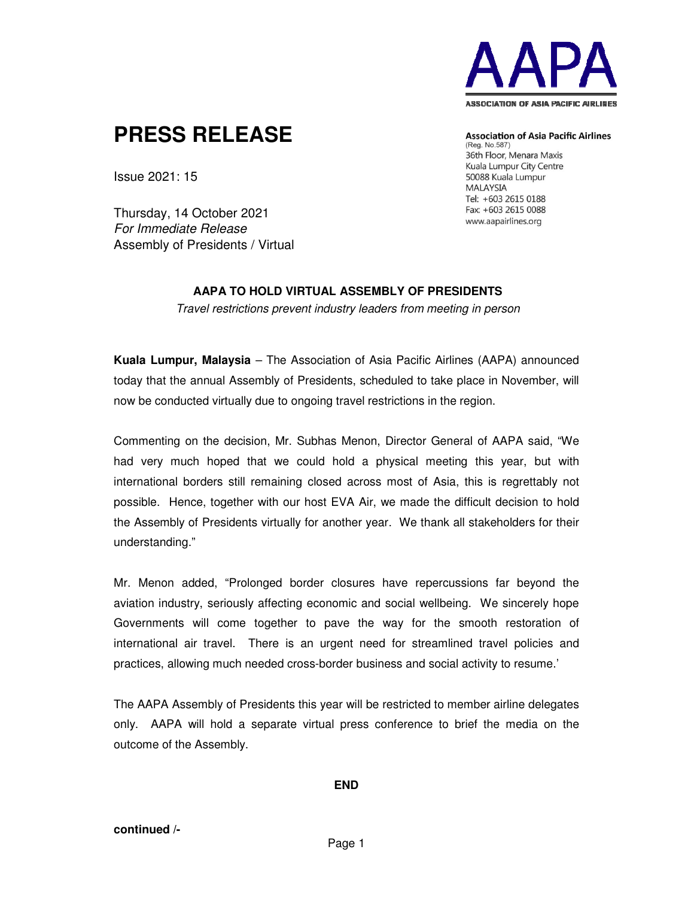

## **PRESS RELEASE**

**Association of Asia Pacific Airlines** (Reg. No.587) 36th Floor, Menara Maxis Kuala Lumpur City Centre 50088 Kuala Lumpur **MALAYSIA** Tel: +603 2615 0188 Fax: +603 2615 0088

www.aapairlines.org

Thursday, 14 October 2021 For Immediate Release Assembly of Presidents / Virtual

Issue 2021: 15

## **AAPA TO HOLD VIRTUAL ASSEMBLY OF PRESIDENTS**

Travel restrictions prevent industry leaders from meeting in person

**Kuala Lumpur, Malaysia** – The Association of Asia Pacific Airlines (AAPA) announced today that the annual Assembly of Presidents, scheduled to take place in November, will now be conducted virtually due to ongoing travel restrictions in the region.

Commenting on the decision, Mr. Subhas Menon, Director General of AAPA said, "We had very much hoped that we could hold a physical meeting this year, but with international borders still remaining closed across most of Asia, this is regrettably not possible. Hence, together with our host EVA Air, we made the difficult decision to hold the Assembly of Presidents virtually for another year. We thank all stakeholders for their understanding."

Mr. Menon added, "Prolonged border closures have repercussions far beyond the aviation industry, seriously affecting economic and social wellbeing. We sincerely hope Governments will come together to pave the way for the smooth restoration of international air travel. There is an urgent need for streamlined travel policies and practices, allowing much needed cross-border business and social activity to resume.'

The AAPA Assembly of Presidents this year will be restricted to member airline delegates only. AAPA will hold a separate virtual press conference to brief the media on the outcome of the Assembly.

**END**